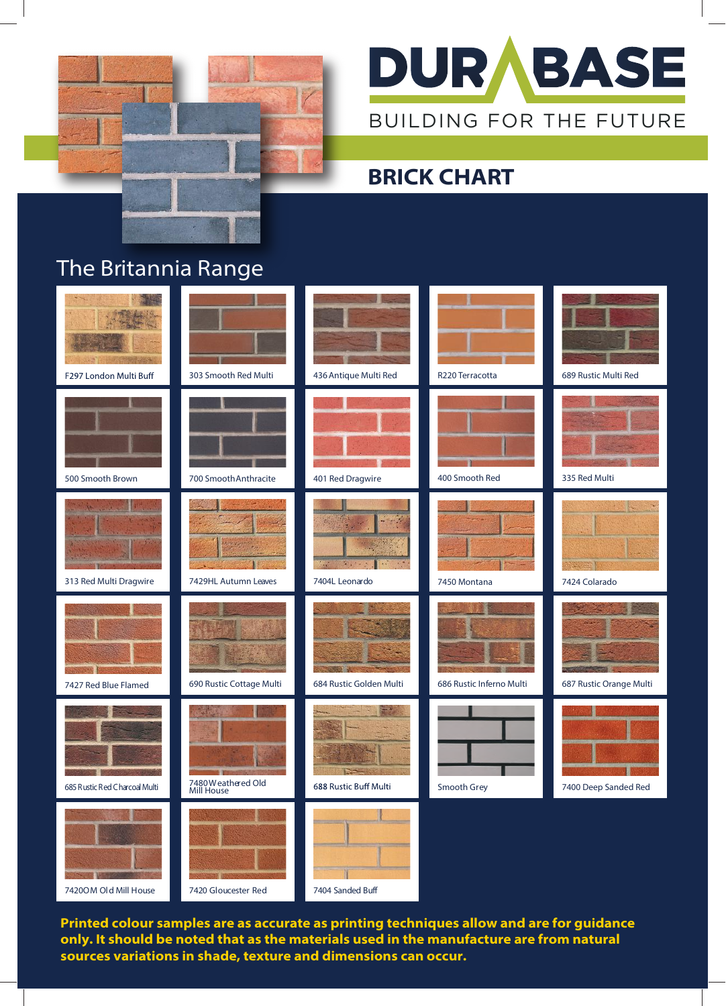



## **BRICK CHART**

## The Britannia Range



**Printed colour samples are as accurate as printing techniques allow and are for guidance only. It should be noted that as the materials used in the manufacture are from natural sources variations in shade, texture and dimensions can occur.**